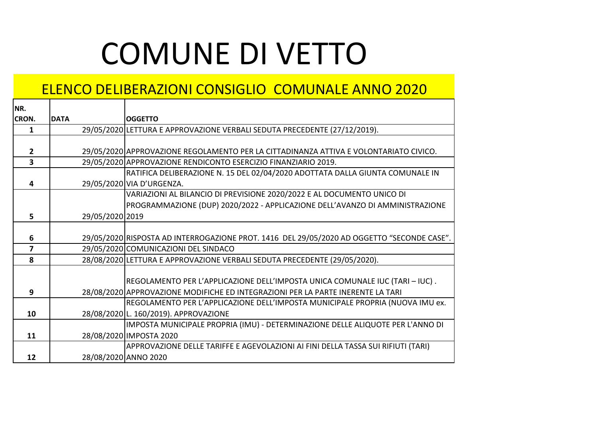## COMUNE DI VETTO

## ELENCO DELIBERAZIONI CONSIGLIO COMUNALE ANNO 2020

| NR.            |                 |                                                                                            |
|----------------|-----------------|--------------------------------------------------------------------------------------------|
| <b>CRON.</b>   | <b>DATA</b>     | <b>OGGETTO</b>                                                                             |
| $\mathbf{1}$   |                 | 29/05/2020 LETTURA E APPROVAZIONE VERBALI SEDUTA PRECEDENTE (27/12/2019).                  |
|                |                 |                                                                                            |
| $\overline{2}$ |                 | 29/05/2020 APPROVAZIONE REGOLAMENTO PER LA CITTADINANZA ATTIVA E VOLONTARIATO CIVICO.      |
| 3              |                 | 29/05/2020 APPROVAZIONE RENDICONTO ESERCIZIO FINANZIARIO 2019.                             |
|                |                 | RATIFICA DELIBERAZIONE N. 15 DEL 02/04/2020 ADOTTATA DALLA GIUNTA COMUNALE IN              |
| 4              |                 | 29/05/2020 VIA D'URGENZA.                                                                  |
|                |                 | VARIAZIONI AL BILANCIO DI PREVISIONE 2020/2022 E AL DOCUMENTO UNICO DI                     |
|                |                 | PROGRAMMAZIONE (DUP) 2020/2022 - APPLICAZIONE DELL'AVANZO DI AMMINISTRAZIONE               |
| 5              | 29/05/2020 2019 |                                                                                            |
|                |                 |                                                                                            |
| 6              |                 | 29/05/2020 RISPOSTA AD INTERROGAZIONE PROT. 1416 DEL 29/05/2020 AD OGGETTO "SECONDE CASE". |
| 7              |                 | 29/05/2020 COMUNICAZIONI DEL SINDACO                                                       |
| 8              |                 | 28/08/2020 LETTURA E APPROVAZIONE VERBALI SEDUTA PRECEDENTE (29/05/2020).                  |
|                |                 |                                                                                            |
|                |                 | REGOLAMENTO PER L'APPLICAZIONE DELL'IMPOSTA UNICA COMUNALE IUC (TARI – IUC).               |
| 9              |                 | 28/08/2020 APPROVAZIONE MODIFICHE ED INTEGRAZIONI PER LA PARTE INERENTE LA TARI            |
|                |                 | REGOLAMENTO PER L'APPLICAZIONE DELL'IMPOSTA MUNICIPALE PROPRIA (NUOVA IMU ex.              |
| 10             |                 | 28/08/2020 L. 160/2019). APPROVAZIONE                                                      |
|                |                 | IMPOSTA MUNICIPALE PROPRIA (IMU) - DETERMINAZIONE DELLE ALIQUOTE PER L'ANNO DI             |
| 11             |                 | 28/08/2020 IMPOSTA 2020                                                                    |
|                |                 | APPROVAZIONE DELLE TARIFFE E AGEVOLAZIONI AI FINI DELLA TASSA SUI RIFIUTI (TARI)           |
| 12             |                 | 28/08/2020 ANNO 2020                                                                       |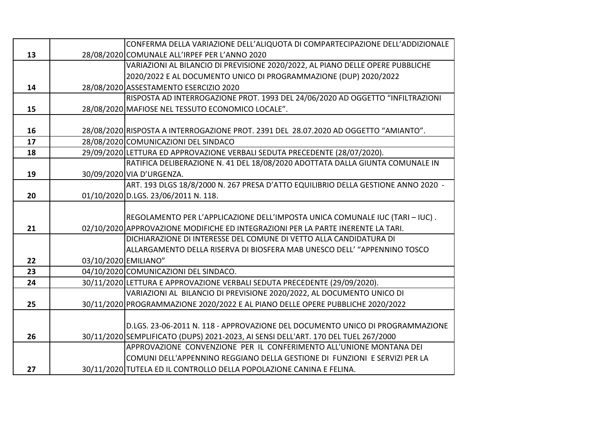|    |                      | CONFERMA DELLA VARIAZIONE DELL'ALIQUOTA DI COMPARTECIPAZIONE DELL'ADDIZIONALE        |
|----|----------------------|--------------------------------------------------------------------------------------|
| 13 |                      | 28/08/2020 COMUNALE ALL'IRPEF PER L'ANNO 2020                                        |
|    |                      | VARIAZIONI AL BILANCIO DI PREVISIONE 2020/2022, AL PIANO DELLE OPERE PUBBLICHE       |
|    |                      | 2020/2022 E AL DOCUMENTO UNICO DI PROGRAMMAZIONE (DUP) 2020/2022                     |
| 14 |                      | 28/08/2020 ASSESTAMENTO ESERCIZIO 2020                                               |
|    |                      | RISPOSTA AD INTERROGAZIONE PROT. 1993 DEL 24/06/2020 AD OGGETTO "INFILTRAZIONI       |
| 15 |                      | 28/08/2020 MAFIOSE NEL TESSUTO ECONOMICO LOCALE".                                    |
|    |                      |                                                                                      |
| 16 |                      | 28/08/2020 RISPOSTA A INTERROGAZIONE PROT. 2391 DEL 28.07.2020 AD OGGETTO "AMIANTO". |
| 17 |                      | 28/08/2020 COMUNICAZIONI DEL SINDACO                                                 |
| 18 |                      | 29/09/2020 LETTURA ED APPROVAZIONE VERBALI SEDUTA PRECEDENTE (28/07/2020).           |
|    |                      | RATIFICA DELIBERAZIONE N. 41 DEL 18/08/2020 ADOTTATA DALLA GIUNTA COMUNALE IN        |
| 19 |                      | 30/09/2020 VIA D'URGENZA.                                                            |
|    |                      | ART. 193 DLGS 18/8/2000 N. 267 PRESA D'ATTO EQUILIBRIO DELLA GESTIONE ANNO 2020 -    |
| 20 |                      | 01/10/2020 D.LGS. 23/06/2011 N. 118.                                                 |
|    |                      |                                                                                      |
|    |                      | REGOLAMENTO PER L'APPLICAZIONE DELL'IMPOSTA UNICA COMUNALE IUC (TARI - IUC).         |
| 21 |                      | 02/10/2020 APPROVAZIONE MODIFICHE ED INTEGRAZIONI PER LA PARTE INERENTE LA TARI.     |
|    |                      | DICHIARAZIONE DI INTERESSE DEL COMUNE DI VETTO ALLA CANDIDATURA DI                   |
|    |                      | ALLARGAMENTO DELLA RISERVA DI BIOSFERA MAB UNESCO DELL' "APPENNINO TOSCO             |
| 22 | 03/10/2020 EMILIANO" |                                                                                      |
| 23 |                      | 04/10/2020 COMUNICAZIONI DEL SINDACO.                                                |
| 24 |                      | 30/11/2020 LETTURA E APPROVAZIONE VERBALI SEDUTA PRECEDENTE (29/09/2020).            |
|    |                      | VARIAZIONI AL BILANCIO DI PREVISIONE 2020/2022, AL DOCUMENTO UNICO DI                |
| 25 |                      | 30/11/2020 PROGRAMMAZIONE 2020/2022 E AL PIANO DELLE OPERE PUBBLICHE 2020/2022       |
|    |                      |                                                                                      |
|    |                      | D.LGS. 23-06-2011 N. 118 - APPROVAZIONE DEL DOCUMENTO UNICO DI PROGRAMMAZIONE        |
| 26 |                      | 30/11/2020 SEMPLIFICATO (DUPS) 2021-2023, AI SENSI DELL'ART. 170 DEL TUEL 267/2000   |
|    |                      | APPROVAZIONE CONVENZIONE PER IL CONFERIMENTO ALL'UNIONE MONTANA DEI                  |
|    |                      | COMUNI DELL'APPENNINO REGGIANO DELLA GESTIONE DI FUNZIONI E SERVIZI PER LA           |
| 27 |                      | 30/11/2020 TUTELA ED IL CONTROLLO DELLA POPOLAZIONE CANINA E FELINA.                 |